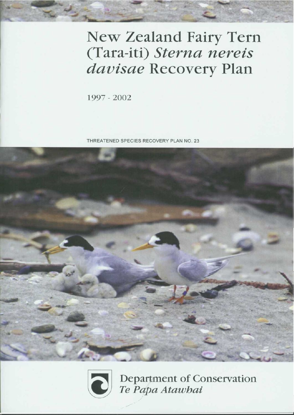# **New Zealand Fairy Tern** (Tara-iti) Sterna nereis davisae Recovery Plan

1997 - 2002

THREATENED SPECIES RECOVERY PLAN NO. 23





Department of Conservation Te Papa Atawhai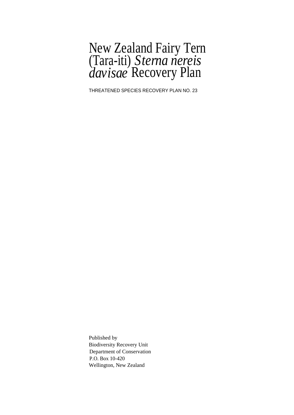### New Zealand Fairy Tern (Tara-iti) *Sterna nereis davisae* Recovery Plan

THREATENED SPECIES RECOVERY PLAN NO. 23

Published by Biodiversity Recovery Unit Department of Conservation P.O. Box 10-420 Wellington, New Zealand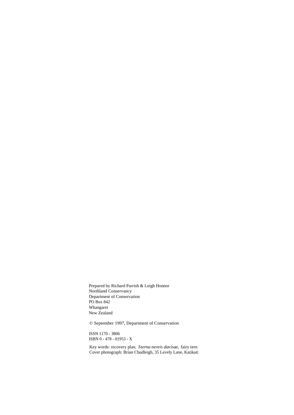Prepared by Richard Parrish & Leigh Honnor Northland Conservancy Department of Conservation PO Box 842 Whangarei New Zealand

© September 1997, Department of Conservation

ISSN 1170 - 3806 ISBN 0 - 478 - 01953 - X

Key words: recovery plan, *Sterna nereis davisae,* fairy tern Cover photograph: Brian Chudleigh, 35 Levely Lane, Katikati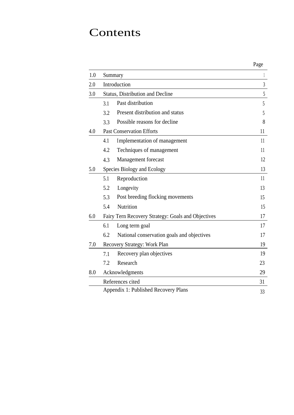### Contents

|     |                                                    | Page |  |  |  |
|-----|----------------------------------------------------|------|--|--|--|
| 1.0 | Summary                                            |      |  |  |  |
| 2.0 | Introduction                                       |      |  |  |  |
| 3.0 | <b>Status, Distribution and Decline</b>            | 5    |  |  |  |
|     | Past distribution<br>3.1                           | 5    |  |  |  |
|     | Present distribution and status<br>3.2             | 5    |  |  |  |
|     | Possible reasons for decline<br>3.3                | 8    |  |  |  |
| 4.0 | <b>Past Conservation Efforts</b>                   | 11   |  |  |  |
|     | 4.1<br>Implementation of management                | 11   |  |  |  |
|     | 4.2<br>Techniques of management                    | 11   |  |  |  |
|     | Management forecast<br>4.3                         | 12   |  |  |  |
| 5.0 | Species Biology and Ecology                        | 13   |  |  |  |
|     | Reproduction<br>5.1                                | 11   |  |  |  |
|     | 5.2<br>Longevity                                   | 13   |  |  |  |
|     | Post breeding flocking movements<br>5.3            | 15   |  |  |  |
|     | Nutrition<br>5.4                                   | 15   |  |  |  |
| 6.0 | Fairy Tern Recovery Strategy: Goals and Objectives | 17   |  |  |  |
|     | 6.1<br>Long term goal                              | 17   |  |  |  |
|     | 6.2<br>National conservation goals and objectives  | 17   |  |  |  |
| 7.0 | Recovery Strategy: Work Plan                       | 19   |  |  |  |
|     | Recovery plan objectives<br>7.1                    | 19   |  |  |  |
|     | Research<br>7.2                                    | 23   |  |  |  |
| 8.0 | Acknowledgments                                    | 29   |  |  |  |
|     | References cited                                   | 31   |  |  |  |
|     | Appendix 1: Published Recovery Plans               | 33   |  |  |  |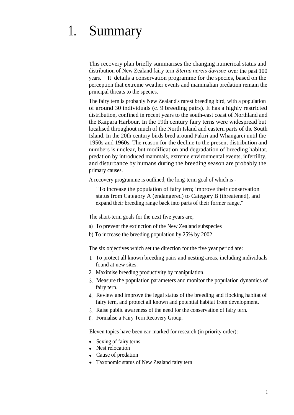# 1. Summary

This recovery plan briefly summarises the changing numerical status and distribution of New Zealand fairy tern *Sterna nereis davisae* over the past 100 years. It details a conservation programme for the species, based on the perception that extreme weather events and mammalian predation remain the principal threats to the species.

The fairy tern is probably New Zealand's rarest breeding bird, with a population of around 30 individuals (c. 9 breeding pairs). It has a highly restricted distribution, confined in recent years to the south-east coast of Northland and the Kaipara Harbour. In the 19th century fairy terns were widespread but localised throughout much of the North Island and eastern parts of the South Island. In the 20th century birds bred around Pakiri and Whangarei until the 1950s and 1960s. The reason for the decline to the present distribution and numbers is unclear, but modification and degradation of breeding habitat, predation by introduced mammals, extreme environmental events, infertility, and disturbance by humans during the breeding season are probably the primary causes.

A recovery programme is outlined, the long-term goal of which is -

"To increase the population of fairy tern; improve their conservation status from Category A (endangered) to Category B (threatened), and expand their breeding range back into parts of their former range."

The short-term goals for the next five years are;

- a) To prevent the extinction of the New Zealand subspecies
- b) To increase the breeding population by 25% by 2002

The six objectives which set the direction for the five year period are:

- 1. To protect all known breeding pairs and nesting areas, including individuals found at new sites.
- 2. Maximise breeding productivity by manipulation.
- 3. Measure the population parameters and monitor the population dynamics of fairy tern.
- 4. Review and improve the legal status of the breeding and flocking habitat of fairy tern, and protect all known and potential habitat from development.
- 5. Raise public awareness of the need for the conservation of fairy tern.
- 6. Formalise a Fairy Tern Recovery Group.

Eleven topics have been ear-marked for research (in priority order):

- Sexing of fairy terns
- Nest relocation
- Cause of predation
- Taxonomic status of New Zealand fairy tern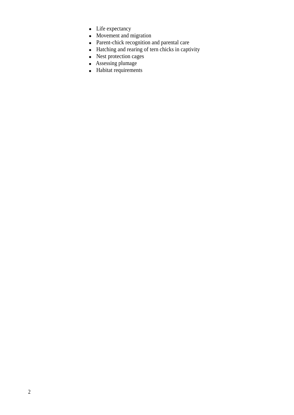- Life expectancy
- Movement and migration
- Parent-chick recognition and parental care
- Hatching and rearing of tern chicks in captivity
- Nest protection cages
- Assessing plumage
- Habitat requirements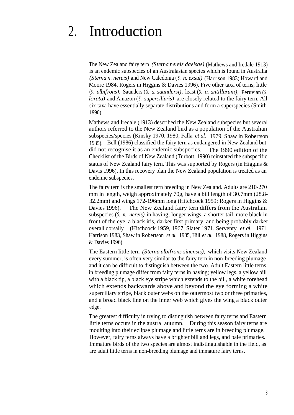# 2. Introduction

The New Zealand fairy tern *(Sterna nereis davisae)* (Mathews and Iredale 1913) is an endemic subspecies of an Australasian species which is found in Australia *(Sterna n. nereis)* and New Caledonia (*S. n. exsul)* (Harrison 1983; Howard and Moore 1984, Rogers in Higgins & Davies 1996). Five other taxa of terns; little (*S. albifrons),* Saunders ( *S. a. saundersi),* least (*S. a. antillarum),* Peruvian (*S. lorata)* and Amazon (*S. superciliaris)* are closely related to the fairy tern. All six taxa have essentially separate distributions and form a superspecies (Smith 1990).

Mathews and Iredale (1913) described the New Zealand subspecies but several authors referred to the New Zealand bird as a population of the Australian subspecies/species (Kinsky 1970, 1980, Falla *et al.* 1979, Shaw in Robertson 1985). Bell (1986) classified the fairy tern as endangered in New Zealand but did not recognise it as an endemic subspecies. The 1990 edition of the Checklist of the Birds of New Zealand (Turbott, 1990) reinstated the subspecific status of New Zealand fairy tern. This was supported by Rogers (in Higgins & Davis 1996). In this recovery plan the New Zealand population is treated as an endemic subspecies.

The fairy tern is the smallest tern breeding in New Zealand. Adults are 210-270 mm in length, weigh approximately 70g, have a bill length of 30.7mm (28.8- 32.2mm) and wings 172-196mm long (Hitchcock 1959; Rogers in Higgins & Davies 1996). The New Zealand fairy tern differs from the Australian subspecies (*S. n. nereis)* in having; longer wings, a shorter tail, more black in front of the eye, a black iris, darker first primary, and being probably darker overall dorsally (Hitchcock 1959, 1967, Slater 1971, Serventy *et al.* 1971, Harrison 1983, Shaw in Robertson *et al.* 1985, Hill *et al.* 1988, Rogers in Higgins & Davies 1996).

The Eastern little tern *(Sterna albifrons sinensis),* which visits New Zealand every summer, is often very similar to the fairy tern in non-breeding plumage and it can be difficult to distinguish between the two. Adult Eastern little terns in breeding plumage differ from fairy terns in having; yellow legs, a yellow bill with a black tip, a black eye stripe which extends to the bill, a white forehead which extends backwards above and beyond the eye forming a white superciliary stripe, black outer webs on the outermost two or three primaries, and a broad black line on the inner web which gives the wing a black outer edge.

The greatest difficulty in trying to distinguish between fairy terns and Eastern little terns occurs in the austral autumn. During this season fairy terns are moulting into their eclipse plumage and little terns are in breeding plumage. However, fairy terns always have a brighter bill and legs, and pale primaries. Immature birds of the two species are almost indistinguishable in the field, as are adult little terns in non-breeding plumage and immature fairy terns.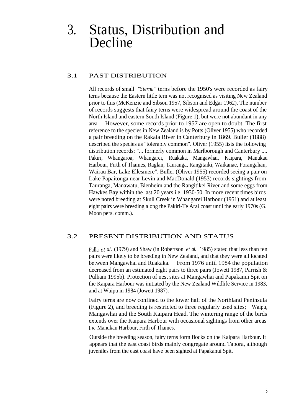### 3. Status, Distribution and Decline

#### 3.1 PAST DISTRIBUTION

All records of small *"Sterna"* terns before the 1950's were recorded as fairy terns because the Eastern little tern was not recognised as visiting New Zealand prior to this (McKenzie and Sibson 1957, Sibson and Edgar 1962). The number of records suggests that fairy terns were widespread around the coast of the North Island and eastern South Island (Figure 1), but were not abundant in any area. However, some records prior to 1957 are open to doubt. The first reference to the species in New Zealand is by Potts (Oliver 1955) who recorded a pair breeding on the Rakaia River in Canterbury in 1869. Buller (1888) described the species as "tolerably common". Oliver (1955) lists the following distribution records: "... formerly common in Marlborough and Canterbury .... Pakiri, Whangaroa, Whangarei, Ruakaka, Mangawhai, Kaipara, Manukau Harbour, Firth of Thames, Raglan, Tauranga, Rangitaiki, Waikanae, Porangahau, Wairau Bar, Lake Ellesmere". Buller (Oliver 1955) recorded seeing a pair on Lake Papaitonga near Levin and MacDonald (1953) records sightings from Tauranga, Manawatu, Blenheim and the Rangitikei River and some eggs from Hawkes Bay within the last 20 years i.e. 1930-50. In more recent times birds were noted breeding at Skull Creek in Whangarei Harbour (1951) and at least eight pairs were breeding along the Pakiri-Te Arai coast until the early 1970s (G. Moon pers. comm.).

#### 3.2 PRESENT DISTRIBUTION AND STATUS

Falla *et al.* (1979) and Shaw (in Robertson *et al.* 1985) stated that less than ten pairs were likely to be breeding in New Zealand, and that they were all located between Mangawhai and Ruakaka. From 1976 until 1984 the population decreased from an estimated eight pairs to three pairs (Jowett 1987, Parrish & Pulham 1995b). Protection of nest sites at Mangawhai and Papakanui Spit on the Kaipara Harbour was initiated by the New Zealand Wildlife Service in 1983, and at Waipu in 1984 (Jowett 1987).

Fairy terns are now confined to the lower half of the Northland Peninsula (Figure 2), and breeding is restricted to three regularly used sites; Waipu, Mangawhai and the South Kaipara Head. The wintering range of the birds extends over the Kaipara Harbour with occasional sightings from other areas i.e. Manukau Harbour, Firth of Thames.

Outside the breeding season, fairy terns form flocks on the Kaipara Harbour. It appears that the east coast birds mainly congregate around Tapora, although juveniles from the east coast have been sighted at Papakanui Spit.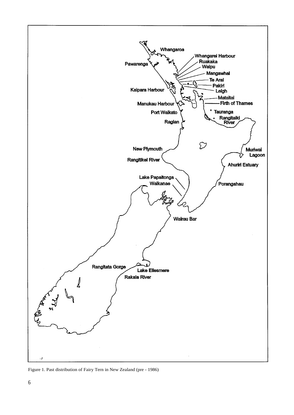

Figure 1. Past distribution of Fairy Tern in New Zealand (pre - 1986)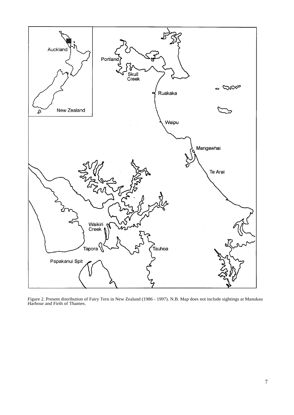

Figure 2. Present distribution of Fairy Tern in New Zealand (1986 - 1997). N.B. Map does not include sightings at Manukau Harbour and Firth of Thames.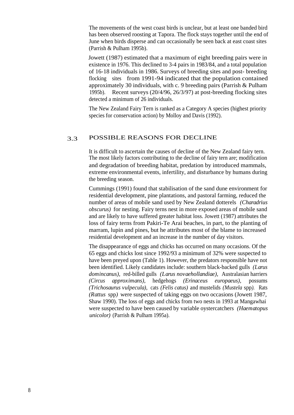The movements of the west coast birds is unclear, but at least one banded bird has been observed roosting at Tapora. The flock stays together until the end of June when birds disperse and can occasionally be seen back at east coast sites (Parrish & Pulham 1995b).

Jowett (1987) estimated that a maximum of eight breeding pairs were in existence in 1976. This declined to 3-4 pairs in 1983/84, and a total population of 16-18 individuals in 1986. Surveys of breeding sites and post- breeding flocking sites from 1991-94 indicated that the population contained approximately 30 individuals, with c. 9 breeding pairs (Parrish & Pulham 1995b). Recent surveys (20/4/96, 26/3/97) at post-breeding flocking sites detected a minimum of 26 individuals.

The New Zealand Fairy Tern is ranked as a Category A species (highest priority species for conservation action) by Molloy and Davis (1992).

#### 3.3 POSSIBLE REASONS FOR DECLINE

It is difficult to ascertain the causes of decline of the New Zealand fairy tern. The most likely factors contributing to the decline of fairy tern are; modification and degradation of breeding habitat, predation by introduced mammals, extreme environmental events, infertility, and disturbance by humans during the breeding season.

Cummings (1991) found that stabilisation of the sand dune environment for residential development, pine plantations, and pastoral farming, reduced the number of areas of mobile sand used by New Zealand dotterels *(Charadrius obscurus)* for nesting. Fairy terns nest in more exposed areas of mobile sand and are likely to have suffered greater habitat loss. Jowett (1987) attributes the loss of fairy terns from Pakiri-Te Arai beaches, in part, to the planting of marram, lupin and pines, but he attributes most of the blame to increased residential development and an increase in the number of day visitors.

The disappearance of eggs and chicks has occurred on many occasions. Of the 65 eggs and chicks lost since 1992/93 a minimum of 32% were suspected to have been preyed upon (Table 1). However, the predators responsible have not been identified. Likely candidates include: southern black-backed gulls *(Larus domincanus),* red-billed gulls *(Larus novaehollandiae),* Australasian harriers *(Circus approximans),* hedgehogs *(Erinaceus europaeus),* possums *(Trichosaurus vulpecula),* cats *(Felis catus)* and mustelids *(Mustela* spp*).* Rats *(Rattus* spp*)* were suspected of taking eggs on two occasions (Jowett 1987, Shaw 1990). The loss of eggs and chicks from two nests in 1993 at Mangawhai were suspected to have been caused by variable oystercatchers *(Haematopus unicolor)* (Parrish & Pulham 1995a).